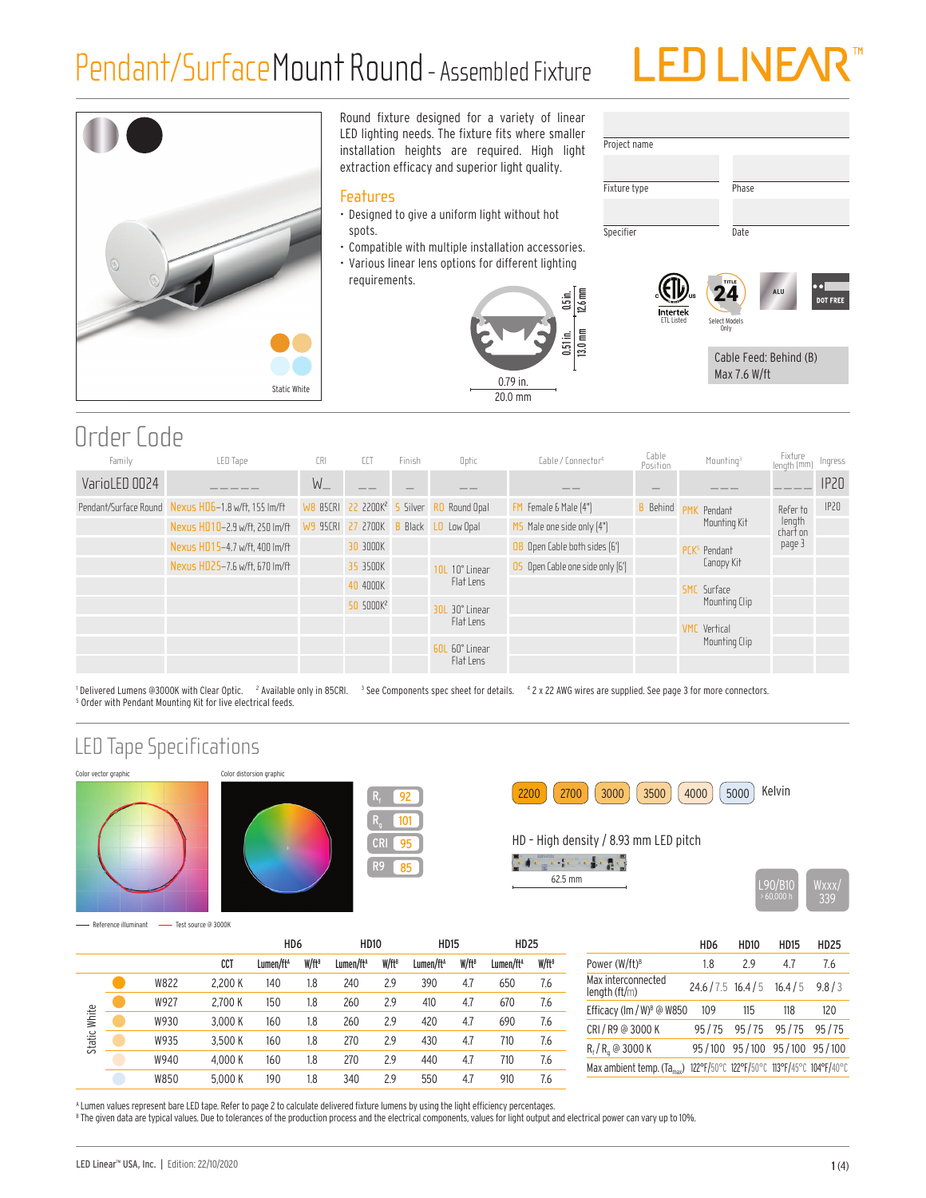# Pendant/SurfaceMount Round - Assembled Fixture





Round fixture designed for a variety of linear LED lighting needs. The fixture fits where smaller installation heights are required. High light extraction efficacy and superior light quality.

#### **Features**

- Designed to give a uniform light without hot spots.
- Compatible with multiple installation accessories.
- Various linear lens options for different lighting requirements.





## Order Code

| Family        | LED Tape                                            | CRI               | CCT                                     | <b>Finish</b> | Optic          | Cable / Connector <sup>4</sup>   | Cable<br>Position | Mounting <sup>3</sup>    | Fixture<br>Iength (mm | Ingress          |
|---------------|-----------------------------------------------------|-------------------|-----------------------------------------|---------------|----------------|----------------------------------|-------------------|--------------------------|-----------------------|------------------|
| VarioLED 0024 |                                                     | $W_{-}$           |                                         |               | __             | __                               |                   |                          |                       | IP <sub>20</sub> |
|               | Pendant/Surface Round Nexus HD6-1.8 w/ft, 155 Im/ft |                   | WB 85CRI 22 2200K <sup>2</sup> 5 Silver |               | RO Round Opal  | FM Female & Male [4"]            | <b>B</b> Behind   | <b>PMK</b> Pendant       | Refer to              | IP20             |
|               | Nexus HD10-2.9 w/ft, 250 lm/ft                      | W9 95CRI 27 2700K |                                         | <b>Black</b>  | LO Low Opal    | $MS$ Male one side only $[4"]$   |                   | Mounting Kit             | length<br>chart on    |                  |
|               | Nexus HD15-4.7 w/ft. 400 lm/ft                      |                   | 30 3000K                                |               |                | OB Open Cable both sides [6']    |                   | PCK <sup>5</sup> Pendant | page 3                |                  |
|               | Nexus HD25-7.6 w/ft, 670 lm/ft                      |                   | 35 3500K                                |               | 10L 10° Linear | OS Open Cable one side only [6'] |                   | Canopy Kit               |                       |                  |
|               |                                                     |                   | 40 4000K                                |               | Flat Lens      |                                  |                   | <b>SMC</b> Surface       |                       |                  |
|               |                                                     |                   | 50 5000K <sup>2</sup>                   |               | 30L 30° Linear |                                  |                   | Mounting Clip            |                       |                  |
|               |                                                     |                   |                                         |               | Flat Lens      |                                  |                   | <b>VMC</b> Vertical      |                       |                  |
|               |                                                     |                   |                                         |               | 60L 60° Linear |                                  |                   | Mounting Clip            |                       |                  |
|               |                                                     |                   |                                         |               | Flat Lens      |                                  |                   |                          |                       |                  |

<sup>1</sup> Delivered Lumens @3000K with Clear Optic. <sup>2</sup> Available only in 85CRI. <sup>3</sup> See Components spec sheet for details. <sup>4</sup> 2 x 22 AWG wires are supplied. See page 3 for more connectors. 5 Order with Pendant Mounting Kit for live electrical feeds.

### LED Tape Specifications









HD – High density / 8.93 mm LED pitch

62.5 mm L90/B10 Wxxx/



- Reference illuminant - Test source @ 3000K

|              |      |         | HD <sub>6</sub>       |          | <b>HD10</b>           |                   | <b>HD15</b>           |          | <b>HD25</b>           |          |
|--------------|------|---------|-----------------------|----------|-----------------------|-------------------|-----------------------|----------|-----------------------|----------|
|              |      | CCT     | Lumen/ft <sup>A</sup> | $W/ft^B$ | Lumen/ft <sup>A</sup> | W/ft <sup>B</sup> | Lumen/ft <sup>A</sup> | $W/ft^8$ | Lumen/ft <sup>A</sup> | $W/ft^B$ |
|              | W822 | 2.200 K | 140                   | 1.8      | 240                   | 2.9               | 390                   | 4.7      | 650                   | 7.6      |
| Static White | W927 | 2.700 K | 150                   | 1.8      | 260                   | 2.9               | 410                   | 4.7      | 670                   | 7.6      |
|              | W930 | 3.000 K | 160                   | 1.8      | 260                   | 2.9               | 420                   | 4.7      | 690                   | 7.6      |
|              | W935 | 3.500 K | 160                   | 1.8      | 270                   | 2.9               | 430                   | 4.7      | 710                   | 7.6      |
|              | W940 | 4.000 K | 160                   | 1.8      | 270                   | 2.9               | 440                   | 4.7      | 710                   | 7.6      |
|              | W850 | 5.000 K | 190                   | 1.8      | 340                   | 2.9               | 550                   | 4.7      | 910                   | 7.6      |

|                                       | HD6                        | HD10                                        | <b>HD15</b> | <b>HD25</b> |
|---------------------------------------|----------------------------|---------------------------------------------|-------------|-------------|
| Power (W/ft) <sup>B</sup>             | 18                         | 29                                          | 47          | 76          |
| Max interconnected<br>length $(ft/m)$ | $24.6 / 7.5$ 16.4/5 16.4/5 |                                             |             | 9.8/3       |
| Efficacy (Im / W) <sup>8</sup> @ W850 | 109                        | 115                                         | 118         | 120         |
| CRI / R9 @ 3000 K                     |                            | 95/75 95/75 95/75 95/75                     |             |             |
| $R_f/R_a$ @ 3000 K                    |                            | 95/100 95/100 95/100 95/100                 |             |             |
| Max ambient temp. $(Ta_{max})$        |                            | 122°F/50°C 122°F/50°C 113°F/45°C 104°F/40°C |             |             |
|                                       |                            |                                             |             |             |

A Lumen values represent bare LED tape. Refer to page 2 to calculate delivered fixture lumens by using the light efficiency percentages.  $^8$  The given data are typical values. Due to tolerances of the production process and the electrical components, values for light output and electrical power can vary up to 10%.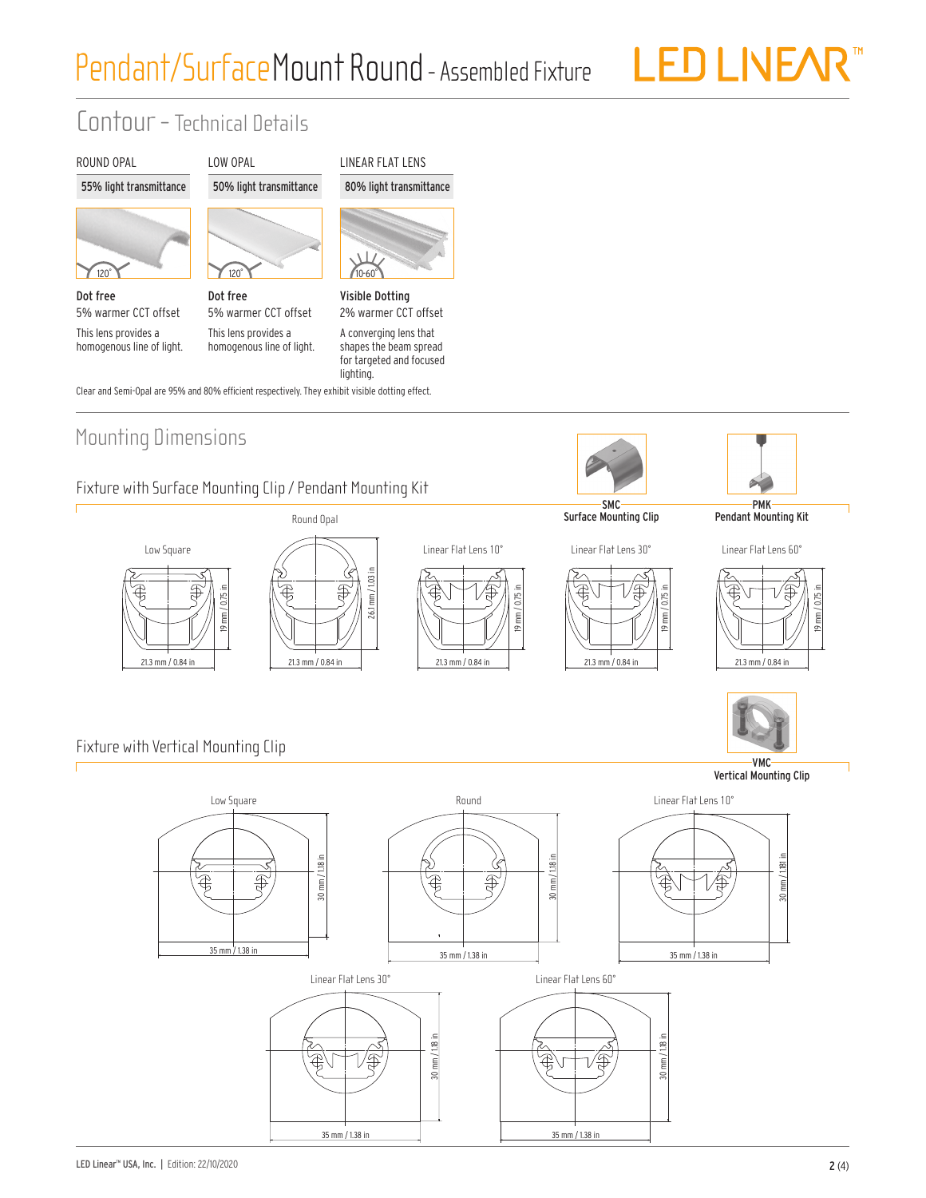LED LIVEAR"

## Contour - Technical Details



 $120^\circ$ Dot free 5% warmer CCT offset This lens provides a

homogenous line of light.



Dot free 5% warmer CCT offset This lens provides a homogenous line of light.

LOW OPAL





Visible Dotting 2% warmer CCT offset A converging lens that shapes the beam spread

for targeted and focused

lighting. Clear and Semi-Opal are 95% and 80% efficient respectively. They exhibit visible dotting effect.

### Mounting Dimensions

#### Fixture with Surface Mounting Clip / Pendant Mounting Kit





Round Opal







PMK Pendant Mounting Kit

Linear Flat Lens 60°





Fixture with Vertical Mounting Clip

Vertical Mounting Clip

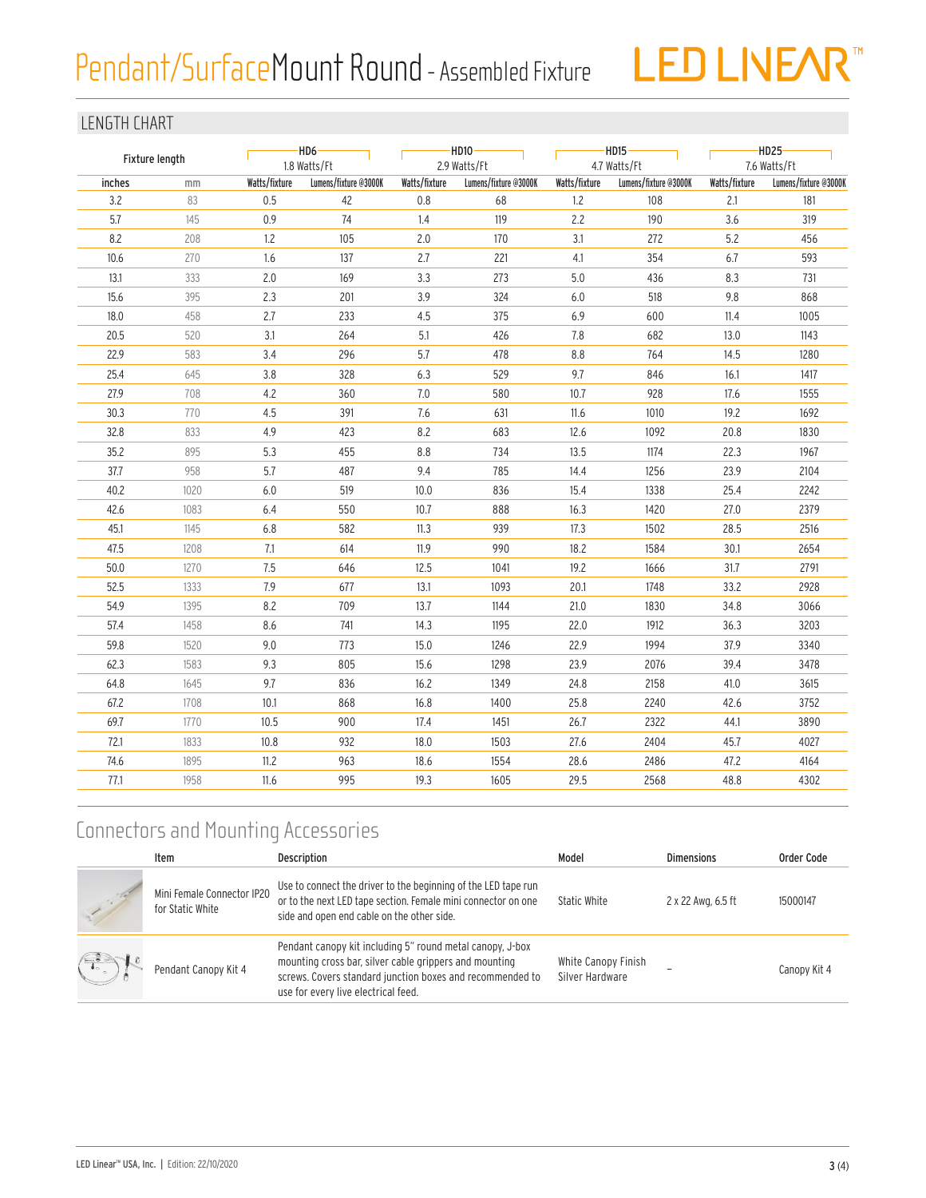# Pendant/Surface Mount Round - Assembled Fixture



#### LENGTH CHART

| Fixture length |      |               | $-HD6-$<br>1.8 Watts/Ft |               | $-HD10-$<br>2.9 Watts/Ft |               | $-HD15$ -<br>4.7 Watts/Ft |               | $-HD25-$<br>7.6 Watts/Ft |  |
|----------------|------|---------------|-------------------------|---------------|--------------------------|---------------|---------------------------|---------------|--------------------------|--|
| inches         | mm   | Watts/fixture | Lumens/fixture @3000K   | Watts/fixture | Lumens/fixture @3000K    | Watts/fixture | Lumens/fixture @3000K     | Watts/fixture | Lumens/fixture @3000K    |  |
| 3.2            | 83   | 0.5           | 42                      | 0.8           | 68                       | 1.2           | 108                       | 2.1           | 181                      |  |
| 5.7            | 145  | 0.9           | 74                      | 1.4           | 119                      | 2.2           | 190                       | 3.6           | 319                      |  |
| 8.2            | 208  | 1.2           | 105                     | 2.0           | 170                      | 3.1           | 272                       | 5.2           | 456                      |  |
| 10.6           | 270  | 1.6           | 137                     | 2.7           | 221                      | 4.1           | 354                       | 6.7           | 593                      |  |
| 13.1           | 333  | 2.0           | 169                     | 3.3           | 273                      | 5.0           | 436                       | 8.3           | 731                      |  |
| 15.6           | 395  | 2.3           | 201                     | 3.9           | 324                      | 6.0           | 518                       | 9.8           | 868                      |  |
| 18.0           | 458  | 2.7           | 233                     | 4.5           | 375                      | 6.9           | 600                       | 11.4          | 1005                     |  |
| 20.5           | 520  | 3.1           | 264                     | 5.1           | 426                      | 7.8           | 682                       | 13.0          | 1143                     |  |
| 22.9           | 583  | 3.4           | 296                     | 5.7           | 478                      | 8.8           | 764                       | 14.5          | 1280                     |  |
| 25.4           | 645  | 3.8           | 328                     | 6.3           | 529                      | 9.7           | 846                       | 16.1          | 1417                     |  |
| 27.9           | 708  | 4.2           | 360                     | 7.0           | 580                      | 10.7          | 928                       | 17.6          | 1555                     |  |
| 30.3           | 770  | 4.5           | 391                     | 7.6           | 631                      | 11.6          | 1010                      | 19.2          | 1692                     |  |
| 32.8           | 833  | 4.9           | 423                     | 8.2           | 683                      | 12.6          | 1092                      | 20.8          | 1830                     |  |
| 35.2           | 895  | 5.3           | 455                     | $8.8\,$       | 734                      | 13.5          | 1174                      | 22.3          | 1967                     |  |
| 37.7           | 958  | 5.7           | 487                     | 9.4           | 785                      | 14.4          | 1256                      | 23.9          | 2104                     |  |
| 40.2           | 1020 | 6.0           | 519                     | 10.0          | 836                      | 15.4          | 1338                      | 25.4          | 2242                     |  |
| 42.6           | 1083 | 6.4           | 550                     | 10.7          | 888                      | 16.3          | 1420                      | 27.0          | 2379                     |  |
| 45.1           | 1145 | $6.8$         | 582                     | 11.3          | 939                      | 17.3          | 1502                      | 28.5          | 2516                     |  |
| 47.5           | 1208 | 7.1           | 614                     | 11.9          | 990                      | 18.2          | 1584                      | 30.1          | 2654                     |  |
| 50.0           | 1270 | 7.5           | 646                     | 12.5          | 1041                     | 19.2          | 1666                      | 31.7          | 2791                     |  |
| 52.5           | 1333 | 7.9           | 677                     | 13.1          | 1093                     | 20.1          | 1748                      | 33.2          | 2928                     |  |
| 54.9           | 1395 | 8.2           | 709                     | 13.7          | 1144                     | 21.0          | 1830                      | 34.8          | 3066                     |  |
| 57.4           | 1458 | 8.6           | 741                     | 14.3          | 1195                     | 22.0          | 1912                      | 36.3          | 3203                     |  |
| 59.8           | 1520 | 9.0           | 773                     | 15.0          | 1246                     | 22.9          | 1994                      | 37.9          | 3340                     |  |
| 62.3           | 1583 | 9.3           | 805                     | 15.6          | 1298                     | 23.9          | 2076                      | 39.4          | 3478                     |  |
| 64.8           | 1645 | 9.7           | 836                     | 16.2          | 1349                     | 24.8          | 2158                      | 41.0          | 3615                     |  |
| 67.2           | 1708 | 10.1          | 868                     | 16.8          | 1400                     | 25.8          | 2240                      | 42.6          | 3752                     |  |
| 69.7           | 1770 | 10.5          | 900                     | 17.4          | 1451                     | 26.7          | 2322                      | 44.1          | 3890                     |  |
| 72.1           | 1833 | 10.8          | 932                     | 18.0          | 1503                     | 27.6          | 2404                      | 45.7          | 4027                     |  |
| 74.6           | 1895 | 11.2          | 963                     | 18.6          | 1554                     | 28.6          | 2486                      | 47.2          | 4164                     |  |
| 77.1           | 1958 | 11.6          | 995                     | 19.3          | 1605                     | 29.5          | 2568                      | 48.8          | 4302                     |  |
|                |      |               |                         |               |                          |               |                           |               |                          |  |

## Connectors and Mounting Accessories

|            | Item                                           | <b>Description</b>                                                                                                                                                                                                      | Model                                  | <b>Dimensions</b>  | Order Code   |
|------------|------------------------------------------------|-------------------------------------------------------------------------------------------------------------------------------------------------------------------------------------------------------------------------|----------------------------------------|--------------------|--------------|
|            | Mini Female Connector IP20<br>for Static White | Use to connect the driver to the beginning of the LED tape run<br>or to the next LED tape section. Female mini connector on one<br>side and open end cable on the other side.                                           | <b>Static White</b>                    | 2 x 22 Awg, 6.5 ft | 15000147     |
| $\bigodot$ | Pendant Canopy Kit 4                           | Pendant canopy kit including 5" round metal canopy, J-box<br>mounting cross bar, silver cable grippers and mounting<br>screws. Covers standard junction boxes and recommended to<br>use for every live electrical feed. | White Canopy Finish<br>Silver Hardware |                    | Canopy Kit 4 |